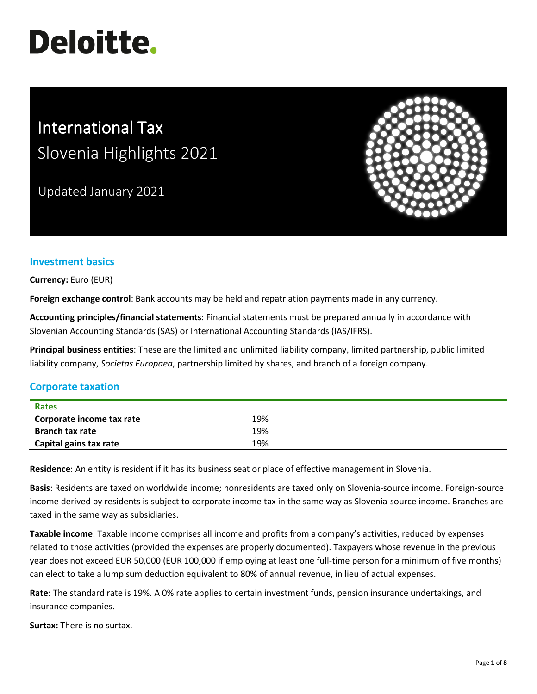# **Deloitte.**

# International Tax Slovenia Highlights 2021

Updated January 2021



# **Investment basics**

**Currency:** Euro (EUR)

**Foreign exchange control**: Bank accounts may be held and repatriation payments made in any currency.

**Accounting principles/financial statements**: Financial statements must be prepared annually in accordance with Slovenian Accounting Standards (SAS) or International Accounting Standards (IAS/IFRS).

**Principal business entities**: These are the limited and unlimited liability company, limited partnership, public limited liability company, *Societas Europaea*, partnership limited by shares, and branch of a foreign company.

# **Corporate taxation**

| <b>Rates</b>              |     |  |
|---------------------------|-----|--|
| Corporate income tax rate | 19% |  |
| <b>Branch tax rate</b>    | 19% |  |
| Capital gains tax rate    | 19% |  |

**Residence**: An entity is resident if it has its business seat or place of effective management in Slovenia.

**Basis**: Residents are taxed on worldwide income; nonresidents are taxed only on Slovenia-source income. Foreign-source income derived by residents is subject to corporate income tax in the same way as Slovenia-source income. Branches are taxed in the same way as subsidiaries.

**Taxable income**: Taxable income comprises all income and profits from a company's activities, reduced by expenses related to those activities (provided the expenses are properly documented). Taxpayers whose revenue in the previous year does not exceed EUR 50,000 (EUR 100,000 if employing at least one full-time person for a minimum of five months) can elect to take a lump sum deduction equivalent to 80% of annual revenue, in lieu of actual expenses.

**Rate**: The standard rate is 19%. A 0% rate applies to certain investment funds, pension insurance undertakings, and insurance companies.

**Surtax:** There is no surtax.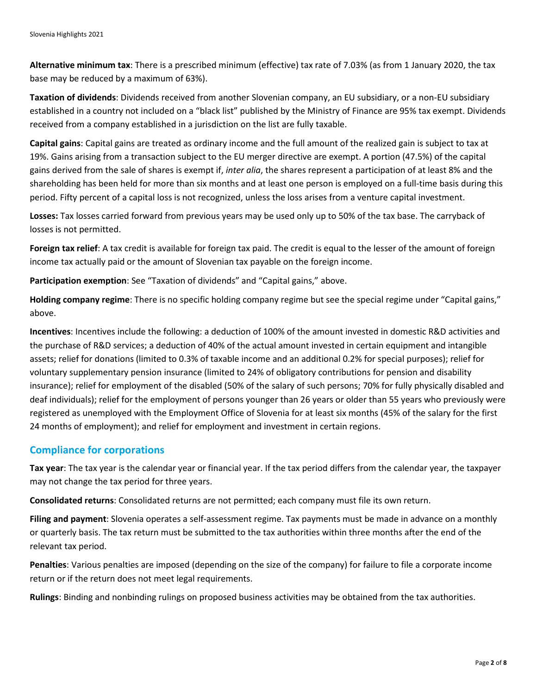**Alternative minimum tax**: There is a prescribed minimum (effective) tax rate of 7.03% (as from 1 January 2020, the tax base may be reduced by a maximum of 63%).

**Taxation of dividends**: Dividends received from another Slovenian company, an EU subsidiary, or a non-EU subsidiary established in a country not included on a "black list" published by the Ministry of Finance are 95% tax exempt. Dividends received from a company established in a jurisdiction on the list are fully taxable.

**Capital gains**: Capital gains are treated as ordinary income and the full amount of the realized gain is subject to tax at 19%. Gains arising from a transaction subject to the EU merger directive are exempt. A portion (47.5%) of the capital gains derived from the sale of shares is exempt if, *inter alia*, the shares represent a participation of at least 8% and the shareholding has been held for more than six months and at least one person is employed on a full-time basis during this period. Fifty percent of a capital loss is not recognized, unless the loss arises from a venture capital investment.

**Losses:** Tax losses carried forward from previous years may be used only up to 50% of the tax base. The carryback of losses is not permitted.

**Foreign tax relief**: A tax credit is available for foreign tax paid. The credit is equal to the lesser of the amount of foreign income tax actually paid or the amount of Slovenian tax payable on the foreign income.

**Participation exemption**: See "Taxation of dividends" and "Capital gains," above.

**Holding company regime**: There is no specific holding company regime but see the special regime under "Capital gains," above.

**Incentives**: Incentives include the following: a deduction of 100% of the amount invested in domestic R&D activities and the purchase of R&D services; a deduction of 40% of the actual amount invested in certain equipment and intangible assets; relief for donations (limited to 0.3% of taxable income and an additional 0.2% for special purposes); relief for voluntary supplementary pension insurance (limited to 24% of obligatory contributions for pension and disability insurance); relief for employment of the disabled (50% of the salary of such persons; 70% for fully physically disabled and deaf individuals); relief for the employment of persons younger than 26 years or older than 55 years who previously were registered as unemployed with the Employment Office of Slovenia for at least six months (45% of the salary for the first 24 months of employment); and relief for employment and investment in certain regions.

#### **Compliance for corporations**

**Tax year**: The tax year is the calendar year or financial year. If the tax period differs from the calendar year, the taxpayer may not change the tax period for three years.

**Consolidated returns**: Consolidated returns are not permitted; each company must file its own return.

**Filing and payment**: Slovenia operates a self-assessment regime. Tax payments must be made in advance on a monthly or quarterly basis. The tax return must be submitted to the tax authorities within three months after the end of the relevant tax period.

**Penalties**: Various penalties are imposed (depending on the size of the company) for failure to file a corporate income return or if the return does not meet legal requirements.

**Rulings**: Binding and nonbinding rulings on proposed business activities may be obtained from the tax authorities.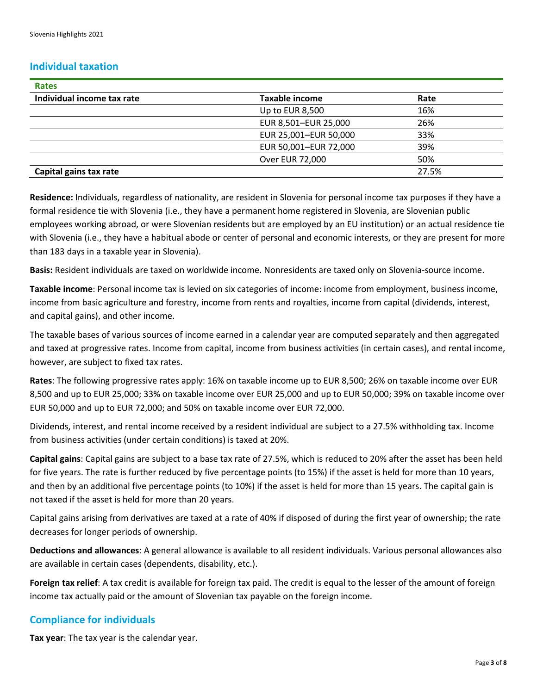#### **Individual taxation**

| <b>Rates</b>               |                       |       |
|----------------------------|-----------------------|-------|
| Individual income tax rate | <b>Taxable income</b> | Rate  |
|                            | Up to EUR 8,500       | 16%   |
|                            | EUR 8,501-EUR 25,000  | 26%   |
|                            | EUR 25,001-EUR 50,000 | 33%   |
|                            | EUR 50,001-EUR 72,000 | 39%   |
|                            | Over EUR 72,000       | 50%   |
| Capital gains tax rate     |                       | 27.5% |

**Residence:** Individuals, regardless of nationality, are resident in Slovenia for personal income tax purposes if they have a formal residence tie with Slovenia (i.e., they have a permanent home registered in Slovenia, are Slovenian public employees working abroad, or were Slovenian residents but are employed by an EU institution) or an actual residence tie with Slovenia (i.e., they have a habitual abode or center of personal and economic interests, or they are present for more than 183 days in a taxable year in Slovenia).

**Basis:** Resident individuals are taxed on worldwide income. Nonresidents are taxed only on Slovenia-source income.

**Taxable income**: Personal income tax is levied on six categories of income: income from employment, business income, income from basic agriculture and forestry, income from rents and royalties, income from capital (dividends, interest, and capital gains), and other income.

The taxable bases of various sources of income earned in a calendar year are computed separately and then aggregated and taxed at progressive rates. Income from capital, income from business activities (in certain cases), and rental income, however, are subject to fixed tax rates.

**Rates**: The following progressive rates apply: 16% on taxable income up to EUR 8,500; 26% on taxable income over EUR 8,500 and up to EUR 25,000; 33% on taxable income over EUR 25,000 and up to EUR 50,000; 39% on taxable income over EUR 50,000 and up to EUR 72,000; and 50% on taxable income over EUR 72,000.

Dividends, interest, and rental income received by a resident individual are subject to a 27.5% withholding tax. Income from business activities (under certain conditions) is taxed at 20%.

**Capital gains**: Capital gains are subject to a base tax rate of 27.5%, which is reduced to 20% after the asset has been held for five years. The rate is further reduced by five percentage points (to 15%) if the asset is held for more than 10 years, and then by an additional five percentage points (to 10%) if the asset is held for more than 15 years. The capital gain is not taxed if the asset is held for more than 20 years.

Capital gains arising from derivatives are taxed at a rate of 40% if disposed of during the first year of ownership; the rate decreases for longer periods of ownership.

**Deductions and allowances**: A general allowance is available to all resident individuals. Various personal allowances also are available in certain cases (dependents, disability, etc.).

**Foreign tax relief**: A tax credit is available for foreign tax paid. The credit is equal to the lesser of the amount of foreign income tax actually paid or the amount of Slovenian tax payable on the foreign income.

#### **Compliance for individuals**

**Tax year**: The tax year is the calendar year.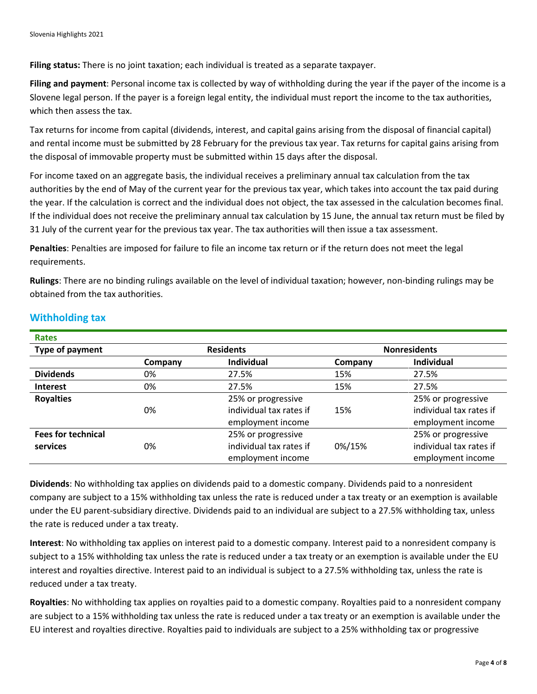**Filing status:** There is no joint taxation; each individual is treated as a separate taxpayer.

**Filing and payment**: Personal income tax is collected by way of withholding during the year if the payer of the income is a Slovene legal person. If the payer is a foreign legal entity, the individual must report the income to the tax authorities, which then assess the tax.

Tax returns for income from capital (dividends, interest, and capital gains arising from the disposal of financial capital) and rental income must be submitted by 28 February for the previous tax year. Tax returns for capital gains arising from the disposal of immovable property must be submitted within 15 days after the disposal.

For income taxed on an aggregate basis, the individual receives a preliminary annual tax calculation from the tax authorities by the end of May of the current year for the previous tax year, which takes into account the tax paid during the year. If the calculation is correct and the individual does not object, the tax assessed in the calculation becomes final. If the individual does not receive the preliminary annual tax calculation by 15 June, the annual tax return must be filed by 31 July of the current year for the previous tax year. The tax authorities will then issue a tax assessment.

**Penalties**: Penalties are imposed for failure to file an income tax return or if the return does not meet the legal requirements.

**Rulings**: There are no binding rulings available on the level of individual taxation; however, non-binding rulings may be obtained from the tax authorities.

| <b>Rates</b>              |         |                         |         |                         |  |
|---------------------------|---------|-------------------------|---------|-------------------------|--|
| Type of payment           |         | <b>Residents</b>        |         | <b>Nonresidents</b>     |  |
|                           | Company | <b>Individual</b>       | Company | <b>Individual</b>       |  |
| <b>Dividends</b>          | 0%      | 27.5%                   | 15%     | 27.5%                   |  |
| <b>Interest</b>           | 0%      | 27.5%                   | 15%     | 27.5%                   |  |
| <b>Royalties</b>          |         | 25% or progressive      |         | 25% or progressive      |  |
|                           | 0%      | individual tax rates if | 15%     | individual tax rates if |  |
|                           |         | employment income       |         | employment income       |  |
| <b>Fees for technical</b> |         | 25% or progressive      |         | 25% or progressive      |  |
| services                  | 0%      | individual tax rates if | 0%/15%  | individual tax rates if |  |
|                           |         | employment income       |         | employment income       |  |

#### **Withholding tax**

**Dividends**: No withholding tax applies on dividends paid to a domestic company. Dividends paid to a nonresident company are subject to a 15% withholding tax unless the rate is reduced under a tax treaty or an exemption is available under the EU parent-subsidiary directive. Dividends paid to an individual are subject to a 27.5% withholding tax, unless the rate is reduced under a tax treaty.

**Interest**: No withholding tax applies on interest paid to a domestic company. Interest paid to a nonresident company is subject to a 15% withholding tax unless the rate is reduced under a tax treaty or an exemption is available under the EU interest and royalties directive. Interest paid to an individual is subject to a 27.5% withholding tax, unless the rate is reduced under a tax treaty.

**Royalties**: No withholding tax applies on royalties paid to a domestic company. Royalties paid to a nonresident company are subject to a 15% withholding tax unless the rate is reduced under a tax treaty or an exemption is available under the EU interest and royalties directive. Royalties paid to individuals are subject to a 25% withholding tax or progressive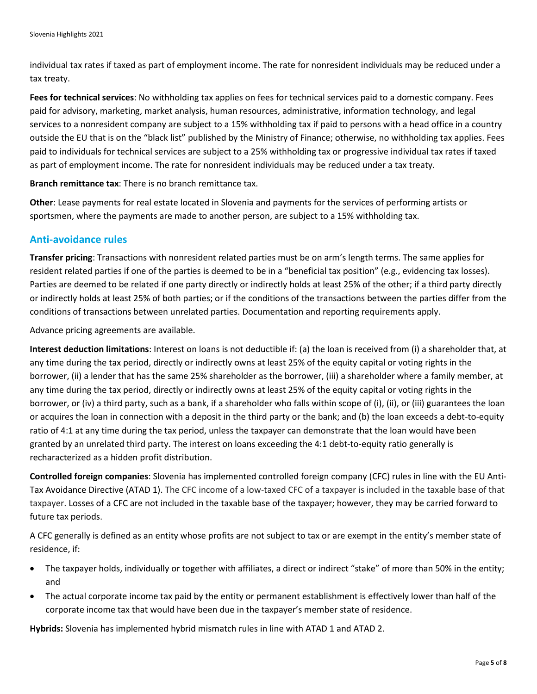individual tax rates if taxed as part of employment income. The rate for nonresident individuals may be reduced under a tax treaty.

**Fees for technical services**: No withholding tax applies on fees for technical services paid to a domestic company. Fees paid for advisory, marketing, market analysis, human resources, administrative, information technology, and legal services to a nonresident company are subject to a 15% withholding tax if paid to persons with a head office in a country outside the EU that is on the "black list" published by the Ministry of Finance; otherwise, no withholding tax applies. Fees paid to individuals for technical services are subject to a 25% withholding tax or progressive individual tax rates if taxed as part of employment income. The rate for nonresident individuals may be reduced under a tax treaty.

**Branch remittance tax**: There is no branch remittance tax.

**Other**: Lease payments for real estate located in Slovenia and payments for the services of performing artists or sportsmen, where the payments are made to another person, are subject to a 15% withholding tax.

#### **Anti-avoidance rules**

**Transfer pricing**: Transactions with nonresident related parties must be on arm's length terms. The same applies for resident related parties if one of the parties is deemed to be in a "beneficial tax position" (e.g., evidencing tax losses). Parties are deemed to be related if one party directly or indirectly holds at least 25% of the other; if a third party directly or indirectly holds at least 25% of both parties; or if the conditions of the transactions between the parties differ from the conditions of transactions between unrelated parties. Documentation and reporting requirements apply.

Advance pricing agreements are available.

**Interest deduction limitations**: Interest on loans is not deductible if: (a) the loan is received from (i) a shareholder that, at any time during the tax period, directly or indirectly owns at least 25% of the equity capital or voting rights in the borrower, (ii) a lender that has the same 25% shareholder as the borrower, (iii) a shareholder where a family member, at any time during the tax period, directly or indirectly owns at least 25% of the equity capital or voting rights in the borrower, or (iv) a third party, such as a bank, if a shareholder who falls within scope of (i), (ii), or (iii) guarantees the loan or acquires the loan in connection with a deposit in the third party or the bank; and (b) the loan exceeds a debt-to-equity ratio of 4:1 at any time during the tax period, unless the taxpayer can demonstrate that the loan would have been granted by an unrelated third party. The interest on loans exceeding the 4:1 debt-to-equity ratio generally is recharacterized as a hidden profit distribution.

**Controlled foreign companies**: Slovenia has implemented controlled foreign company (CFC) rules in line with the EU Anti-Tax Avoidance Directive (ATAD 1). The CFC income of a low-taxed CFC of a taxpayer is included in the taxable base of that taxpayer. Losses of a CFC are not included in the taxable base of the taxpayer; however, they may be carried forward to future tax periods.

A CFC generally is defined as an entity whose profits are not subject to tax or are exempt in the entity's member state of residence, if:

- The taxpayer holds, individually or together with affiliates, a direct or indirect "stake" of more than 50% in the entity; and
- The actual corporate income tax paid by the entity or permanent establishment is effectively lower than half of the corporate income tax that would have been due in the taxpayer's member state of residence.

**Hybrids:** Slovenia has implemented hybrid mismatch rules in line with ATAD 1 and ATAD 2.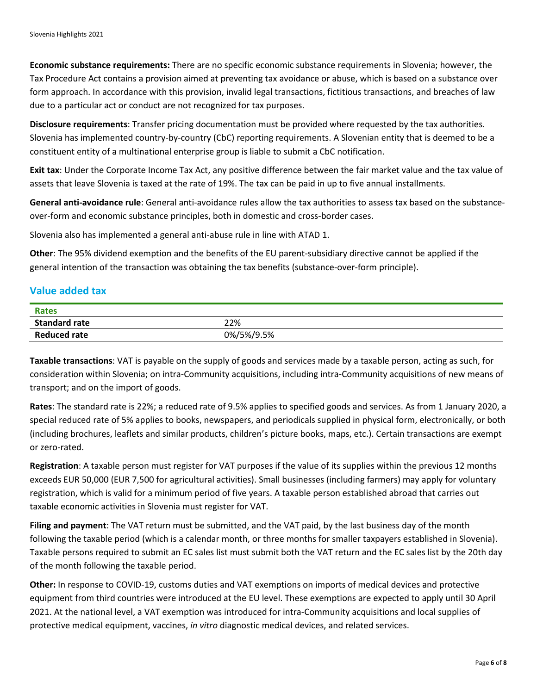**Economic substance requirements:** There are no specific economic substance requirements in Slovenia; however, the Tax Procedure Act contains a provision aimed at preventing tax avoidance or abuse, which is based on a substance over form approach. In accordance with this provision, invalid legal transactions, fictitious transactions, and breaches of law due to a particular act or conduct are not recognized for tax purposes.

**Disclosure requirements**: Transfer pricing documentation must be provided where requested by the tax authorities. Slovenia has implemented country-by-country (CbC) reporting requirements. A Slovenian entity that is deemed to be a constituent entity of a multinational enterprise group is liable to submit a CbC notification.

**Exit tax**: Under the Corporate Income Tax Act, any positive difference between the fair market value and the tax value of assets that leave Slovenia is taxed at the rate of 19%. The tax can be paid in up to five annual installments.

**General anti-avoidance rule**: General anti-avoidance rules allow the tax authorities to assess tax based on the substanceover-form and economic substance principles, both in domestic and cross-border cases.

Slovenia also has implemented a general anti-abuse rule in line with ATAD 1.

**Other**: The 95% dividend exemption and the benefits of the EU parent-subsidiary directive cannot be applied if the general intention of the transaction was obtaining the tax benefits (substance-over-form principle).

### **Value added tax**

| <b>Rates</b>         |            |
|----------------------|------------|
| <b>Standard rate</b> | 22%        |
| <b>Reduced rate</b>  | 0%/5%/9.5% |

**Taxable transactions**: VAT is payable on the supply of goods and services made by a taxable person, acting as such, for consideration within Slovenia; on intra-Community acquisitions, including intra-Community acquisitions of new means of transport; and on the import of goods.

**Rates**: The standard rate is 22%; a reduced rate of 9.5% applies to specified goods and services. As from 1 January 2020, a special reduced rate of 5% applies to books, newspapers, and periodicals supplied in physical form, electronically, or both (including brochures, leaflets and similar products, children's picture books, maps, etc.). Certain transactions are exempt or zero-rated.

**Registration**: A taxable person must register for VAT purposes if the value of its supplies within the previous 12 months exceeds EUR 50,000 (EUR 7,500 for agricultural activities). Small businesses (including farmers) may apply for voluntary registration, which is valid for a minimum period of five years. A taxable person established abroad that carries out taxable economic activities in Slovenia must register for VAT.

**Filing and payment**: The VAT return must be submitted, and the VAT paid, by the last business day of the month following the taxable period (which is a calendar month, or three months for smaller taxpayers established in Slovenia). Taxable persons required to submit an EC sales list must submit both the VAT return and the EC sales list by the 20th day of the month following the taxable period.

**Other:** In response to COVID-19, customs duties and VAT exemptions on imports of medical devices and protective equipment from third countries were introduced at the EU level. These exemptions are expected to apply until 30 April 2021. At the national level, a VAT exemption was introduced for intra-Community acquisitions and local supplies of protective medical equipment, vaccines, *in vitro* diagnostic medical devices, and related services.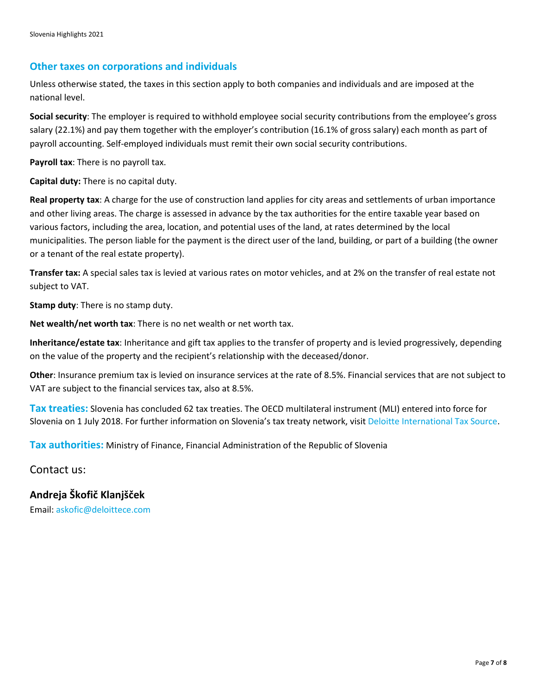#### **Other taxes on corporations and individuals**

Unless otherwise stated, the taxes in this section apply to both companies and individuals and are imposed at the national level.

**Social security**: The employer is required to withhold employee social security contributions from the employee's gross salary (22.1%) and pay them together with the employer's contribution (16.1% of gross salary) each month as part of payroll accounting. Self-employed individuals must remit their own social security contributions.

**Payroll tax**: There is no payroll tax.

**Capital duty:** There is no capital duty.

**Real property tax**: A charge for the use of construction land applies for city areas and settlements of urban importance and other living areas. The charge is assessed in advance by the tax authorities for the entire taxable year based on various factors, including the area, location, and potential uses of the land, at rates determined by the local municipalities. The person liable for the payment is the direct user of the land, building, or part of a building (the owner or a tenant of the real estate property).

**Transfer tax:** A special sales tax is levied at various rates on motor vehicles, and at 2% on the transfer of real estate not subject to VAT.

**Stamp duty**: There is no stamp duty.

**Net wealth/net worth tax**: There is no net wealth or net worth tax.

**Inheritance/estate tax**: Inheritance and gift tax applies to the transfer of property and is levied progressively, depending on the value of the property and the recipient's relationship with the deceased/donor.

**Other**: Insurance premium tax is levied on insurance services at the rate of 8.5%. Financial services that are not subject to VAT are subject to the financial services tax, also at 8.5%.

**Tax treaties:** Slovenia has concluded 62 tax treaties. The OECD multilateral instrument (MLI) entered into force for Slovenia on 1 July 2018. For further information on Slovenia's tax treaty network, visi[t Deloitte International Tax Source.](https://www.dits.deloitte.com/#Jurisdiction/94)

**Tax authorities:** Ministry of Finance, Financial Administration of the Republic of Slovenia

Contact us:

**Andreja Škofič Klanjšček**

Email: [askofic@deloittece.com](mailto:askofic@deloittece.com)